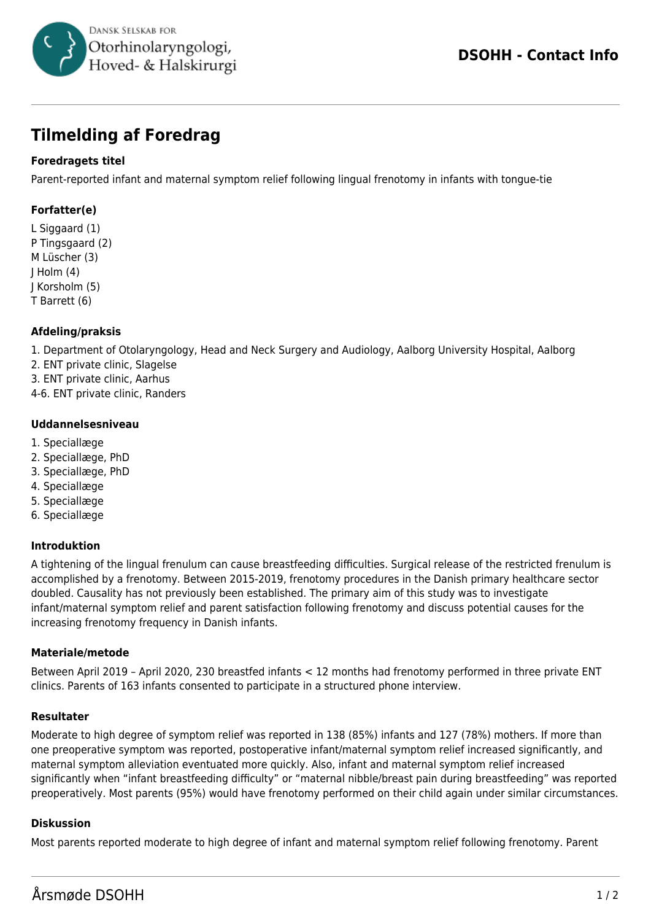

# **Tilmelding af Foredrag**

## **Foredragets titel**

Parent-reported infant and maternal symptom relief following lingual frenotomy in infants with tongue-tie

# **Forfatter(e)**

L Siggaard (1) P Tingsgaard (2) M Lüscher (3) J Holm (4) J Korsholm (5) T Barrett (6)

## **Afdeling/praksis**

1. Department of Otolaryngology, Head and Neck Surgery and Audiology, Aalborg University Hospital, Aalborg

2. ENT private clinic, Slagelse

- 3. ENT private clinic, Aarhus
- 4-6. ENT private clinic, Randers

#### **Uddannelsesniveau**

- 1. Speciallæge
- 2. Speciallæge, PhD
- 3. Speciallæge, PhD
- 4. Speciallæge
- 5. Speciallæge
- 6. Speciallæge

#### **Introduktion**

A tightening of the lingual frenulum can cause breastfeeding difficulties. Surgical release of the restricted frenulum is accomplished by a frenotomy. Between 2015-2019, frenotomy procedures in the Danish primary healthcare sector doubled. Causality has not previously been established. The primary aim of this study was to investigate infant/maternal symptom relief and parent satisfaction following frenotomy and discuss potential causes for the increasing frenotomy frequency in Danish infants.

#### **Materiale/metode**

Between April 2019 – April 2020, 230 breastfed infants < 12 months had frenotomy performed in three private ENT clinics. Parents of 163 infants consented to participate in a structured phone interview.

#### **Resultater**

Moderate to high degree of symptom relief was reported in 138 (85%) infants and 127 (78%) mothers. If more than one preoperative symptom was reported, postoperative infant/maternal symptom relief increased significantly, and maternal symptom alleviation eventuated more quickly. Also, infant and maternal symptom relief increased significantly when "infant breastfeeding difficulty" or "maternal nibble/breast pain during breastfeeding" was reported preoperatively. Most parents (95%) would have frenotomy performed on their child again under similar circumstances.

#### **Diskussion**

Most parents reported moderate to high degree of infant and maternal symptom relief following frenotomy. Parent